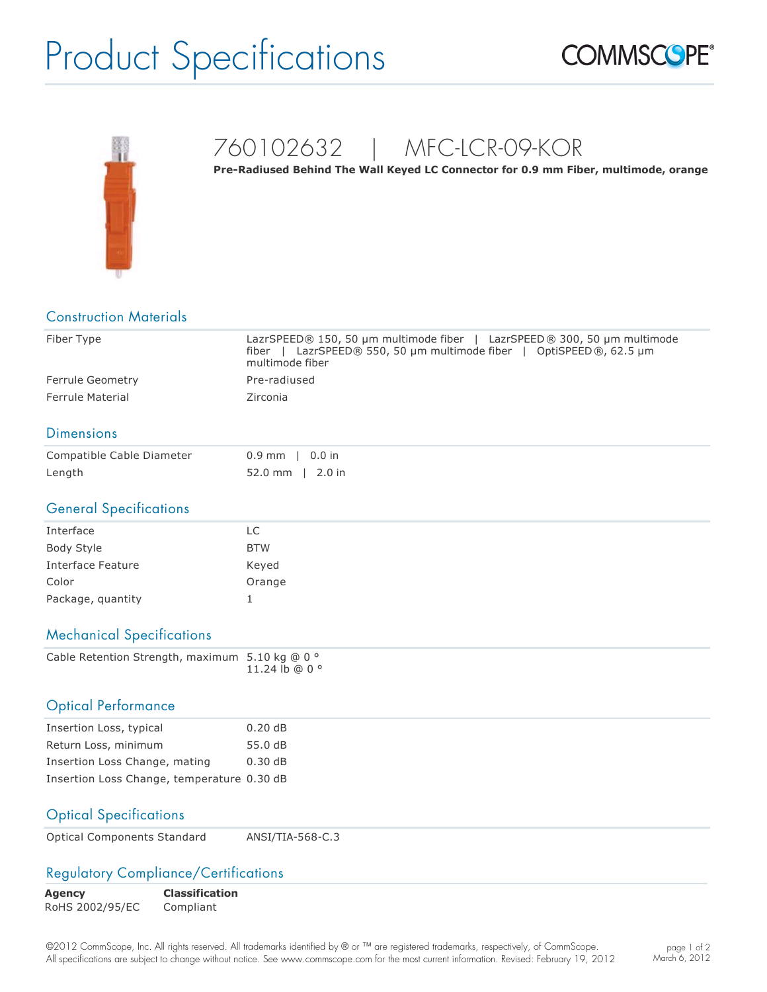# Product Specifications





### 760102632 | MFC-LCR-09-KOR

Pre-Radiused Behind The Wall Keyed LC Connector for 0.9 mm Fiber, multimode, orange

| <b>Construction Materials</b>                   |                                                                                                                                                                       |  |
|-------------------------------------------------|-----------------------------------------------------------------------------------------------------------------------------------------------------------------------|--|
| Fiber Type                                      | LazrSPEED® 150, 50 µm multimode fiber  <br>LazrSPEED ® 300, 50 µm multimode<br>fiber   LazrSPEED® 550, 50 µm multimode fiber   OptiSPEED®, 62.5 µm<br>multimode fiber |  |
| Ferrule Geometry                                | Pre-radiused                                                                                                                                                          |  |
| <b>Ferrule Material</b>                         | Zirconia                                                                                                                                                              |  |
| <b>Dimensions</b>                               |                                                                                                                                                                       |  |
| Compatible Cable Diameter                       | $0.0$ in<br>$0.9$ mm                                                                                                                                                  |  |
| Length                                          | 52.0 mm   2.0 in                                                                                                                                                      |  |
| <b>General Specifications</b>                   |                                                                                                                                                                       |  |
| Interface                                       | <b>LC</b>                                                                                                                                                             |  |
| <b>Body Style</b>                               | <b>BTW</b>                                                                                                                                                            |  |
| <b>Interface Feature</b>                        | Keyed                                                                                                                                                                 |  |
| Color                                           | Orange                                                                                                                                                                |  |
| Package, quantity                               | $\mathbf{1}$                                                                                                                                                          |  |
| <b>Mechanical Specifications</b>                |                                                                                                                                                                       |  |
| Cable Retention Strength, maximum 5.10 kg @ 0 ° | 11.24 lb @ 0 °                                                                                                                                                        |  |
| <b>Optical Performance</b>                      |                                                                                                                                                                       |  |
| Insertion Loss, typical                         | 0.20dB                                                                                                                                                                |  |
| Return Loss, minimum                            | 55.0 dB                                                                                                                                                               |  |
| Insertion Loss Change, mating                   | 0.30dB                                                                                                                                                                |  |
| Insertion Loss Change, temperature 0.30 dB      |                                                                                                                                                                       |  |
| <b>Optical Specifications</b>                   |                                                                                                                                                                       |  |

| <b>Optical Components Standard</b> | ANSI/TIA-568-C.3 |
|------------------------------------|------------------|
|------------------------------------|------------------|

#### Regulatory Compliance/Certifications

| <b>Agency</b>   | <b>Classification</b> |
|-----------------|-----------------------|
| RoHS 2002/95/EC | Compliant             |